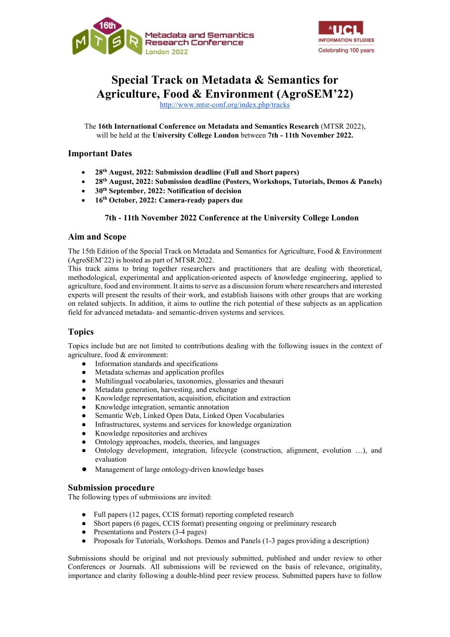



# Special Track on Metadata & Semantics for Agriculture, Food & Environment (AgroSEM'22)

http://www.mtsr-conf.org/index.php/tracks

The 16th International Conference on Metadata and Semantics Research (MTSR 2022), will be held at the University College London between 7th - 11th November 2022.

## Important Dates

- 28th August, 2022: Submission deadline (Full and Short papers)
- 28th August, 2022: Submission deadline (Posters, Workshops, Tutorials, Demos & Panels)
- 30th September, 2022: Notification of decision
- 16th October, 2022: Camera-ready papers due

#### 7th - 11th November 2022 Conference at the University College London

#### Aim and Scope

The 15th Edition of the Special Track on Metadata and Semantics for Agriculture, Food & Environment (AgroSEM'22) is hosted as part of MTSR 2022.

This track aims to bring together researchers and practitioners that are dealing with theoretical, methodological, experimental and application-oriented aspects of knowledge engineering, applied to agriculture, food and environment. It aims to serve as a discussion forum where researchers and interested experts will present the results of their work, and establish liaisons with other groups that are working on related subjects. In addition, it aims to outline the rich potential of these subjects as an application field for advanced metadata- and semantic-driven systems and services.

## Topics

Topics include but are not limited to contributions dealing with the following issues in the context of agriculture, food & environment:

- Information standards and specifications
- Metadata schemas and application profiles
- Multilingual vocabularies, taxonomies, glossaries and thesauri
- Metadata generation, harvesting, and exchange
- Knowledge representation, acquisition, elicitation and extraction
- Knowledge integration, semantic annotation
- Semantic Web, Linked Open Data, Linked Open Vocabularies
- Infrastructures, systems and services for knowledge organization
- Knowledge repositories and archives
- Ontology approaches, models, theories, and languages
- Ontology development, integration, lifecycle (construction, alignment, evolution ...), and evaluation
- Management of large ontology-driven knowledge bases

#### Submission procedure

The following types of submissions are invited:

- Full papers (12 pages, CCIS format) reporting completed research
- Short papers (6 pages, CCIS format) presenting ongoing or preliminary research
- Presentations and Posters (3-4 pages)
- Proposals for Tutorials, Workshops. Demos and Panels (1-3 pages providing a description)

Submissions should be original and not previously submitted, published and under review to other Conferences or Journals. All submissions will be reviewed on the basis of relevance, originality, importance and clarity following a double-blind peer review process. Submitted papers have to follow